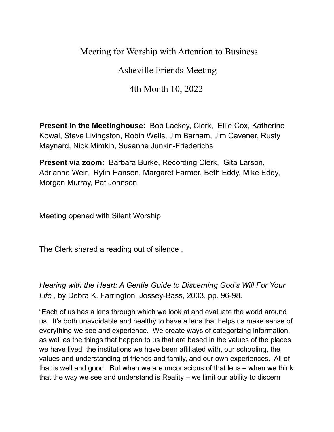# Meeting for Worship with Attention to Business

# Asheville Friends Meeting

# 4th Month 10, 2022

**Present in the Meetinghouse:** Bob Lackey, Clerk, Ellie Cox, Katherine Kowal, Steve Livingston, Robin Wells, Jim Barham, Jim Cavener, Rusty Maynard, Nick Mimkin, Susanne Junkin-Friederichs

**Present via zoom:** Barbara Burke, Recording Clerk, Gita Larson, Adrianne Weir, Rylin Hansen, Margaret Farmer, Beth Eddy, Mike Eddy, Morgan Murray, Pat Johnson

Meeting opened with Silent Worship

The Clerk shared a reading out of silence .

*Hearing with the Heart: A Gentle Guide to Discerning God's Will For Your Life* , by Debra K. Farrington. Jossey-Bass, 2003. pp. 96-98.

"Each of us has a lens through which we look at and evaluate the world around us. It's both unavoidable and healthy to have a lens that helps us make sense of everything we see and experience. We create ways of categorizing information, as well as the things that happen to us that are based in the values of the places we have lived, the institutions we have been affiliated with, our schooling, the values and understanding of friends and family, and our own experiences. All of that is well and good. But when we are unconscious of that lens – when we think that the way we see and understand is Reality – we limit our ability to discern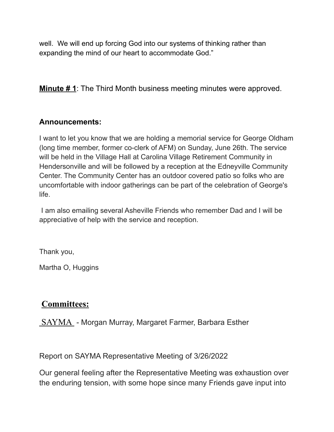well. We will end up forcing God into our systems of thinking rather than expanding the mind of our heart to accommodate God."

**Minute # 1**: The Third Month business meeting minutes were approved.

### **Announcements:**

I want to let you know that we are holding a memorial service for George Oldham (long time member, former co-clerk of AFM) on Sunday, June 26th. The service will be held in the Village Hall at Carolina Village Retirement Community in Hendersonville and will be followed by a reception at the Edneyville Community Center. The Community Center has an outdoor covered patio so folks who are uncomfortable with indoor gatherings can be part of the celebration of George's life.

I am also emailing several Asheville Friends who remember Dad and I will be appreciative of help with the service and reception.

Thank you,

Martha O, Huggins

## **Committees:**

**SAYMA** - Morgan Murray, Margaret Farmer, Barbara Esther

Report on SAYMA Representative Meeting of 3/26/2022

Our general feeling after the Representative Meeting was exhaustion over the enduring tension, with some hope since many Friends gave input into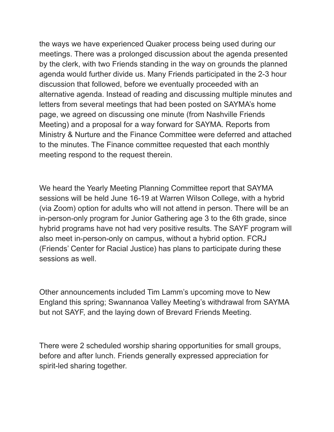the ways we have experienced Quaker process being used during our meetings. There was a prolonged discussion about the agenda presented by the clerk, with two Friends standing in the way on grounds the planned agenda would further divide us. Many Friends participated in the 2-3 hour discussion that followed, before we eventually proceeded with an alternative agenda. Instead of reading and discussing multiple minutes and letters from several meetings that had been posted on SAYMA's home page, we agreed on discussing one minute (from Nashville Friends Meeting) and a proposal for a way forward for SAYMA. Reports from Ministry & Nurture and the Finance Committee were deferred and attached to the minutes. The Finance committee requested that each monthly meeting respond to the request therein.

We heard the Yearly Meeting Planning Committee report that SAYMA sessions will be held June 16-19 at Warren Wilson College, with a hybrid (via Zoom) option for adults who will not attend in person. There will be an in-person-only program for Junior Gathering age 3 to the 6th grade, since hybrid programs have not had very positive results. The SAYF program will also meet in-person-only on campus, without a hybrid option. FCRJ (Friends' Center for Racial Justice) has plans to participate during these sessions as well.

Other announcements included Tim Lamm's upcoming move to New England this spring; Swannanoa Valley Meeting's withdrawal from SAYMA but not SAYF, and the laying down of Brevard Friends Meeting.

There were 2 scheduled worship sharing opportunities for small groups, before and after lunch. Friends generally expressed appreciation for spirit-led sharing together.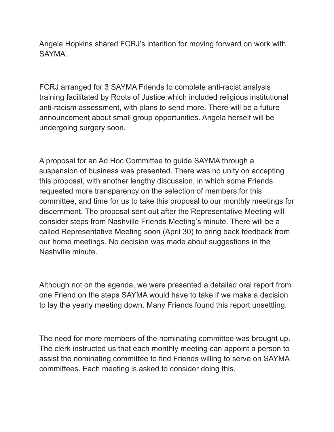Angela Hopkins shared FCRJ's intention for moving forward on work with SAYMA.

FCRJ arranged for 3 SAYMA Friends to complete anti-racist analysis training facilitated by Roots of Justice which included religious institutional anti-racism assessment, with plans to send more. There will be a future announcement about small group opportunities. Angela herself will be undergoing surgery soon.

A proposal for an Ad Hoc Committee to guide SAYMA through a suspension of business was presented. There was no unity on accepting this proposal, with another lengthy discussion, in which some Friends requested more transparency on the selection of members for this committee, and time for us to take this proposal to our monthly meetings for discernment. The proposal sent out after the Representative Meeting will consider steps from Nashville Friends Meeting's minute. There will be a called Representative Meeting soon (April 30) to bring back feedback from our home meetings. No decision was made about suggestions in the Nashville minute.

Although not on the agenda, we were presented a detailed oral report from one Friend on the steps SAYMA would have to take if we make a decision to lay the yearly meeting down. Many Friends found this report unsettling.

The need for more members of the nominating committee was brought up. The clerk instructed us that each monthly meeting can appoint a person to assist the nominating committee to find Friends willing to serve on SAYMA committees. Each meeting is asked to consider doing this.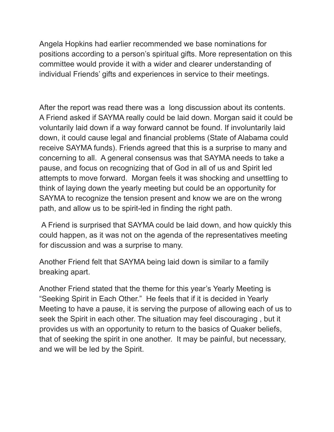Angela Hopkins had earlier recommended we base nominations for positions according to a person's spiritual gifts. More representation on this committee would provide it with a wider and clearer understanding of individual Friends' gifts and experiences in service to their meetings.

After the report was read there was a long discussion about its contents. A Friend asked if SAYMA really could be laid down. Morgan said it could be voluntarily laid down if a way forward cannot be found. If involuntarily laid down, it could cause legal and financial problems (State of Alabama could receive SAYMA funds). Friends agreed that this is a surprise to many and concerning to all. A general consensus was that SAYMA needs to take a pause, and focus on recognizing that of God in all of us and Spirit led attempts to move forward. Morgan feels it was shocking and unsettling to think of laying down the yearly meeting but could be an opportunity for SAYMA to recognize the tension present and know we are on the wrong path, and allow us to be spirit-led in finding the right path.

A Friend is surprised that SAYMA could be laid down, and how quickly this could happen, as it was not on the agenda of the representatives meeting for discussion and was a surprise to many.

Another Friend felt that SAYMA being laid down is similar to a family breaking apart.

Another Friend stated that the theme for this year's Yearly Meeting is "Seeking Spirit in Each Other." He feels that if it is decided in Yearly Meeting to have a pause, it is serving the purpose of allowing each of us to seek the Spirit in each other. The situation may feel discouraging , but it provides us with an opportunity to return to the basics of Quaker beliefs, that of seeking the spirit in one another. It may be painful, but necessary, and we will be led by the Spirit.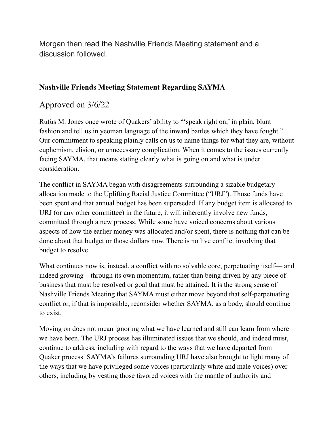Morgan then read the Nashville Friends Meeting statement and a discussion followed.

#### **Nashville Friends Meeting Statement Regarding SAYMA**

### Approved on 3/6/22

Rufus M. Jones once wrote of Quakers' ability to "'speak right on,' in plain, blunt fashion and tell us in yeoman language of the inward battles which they have fought." Our commitment to speaking plainly calls on us to name things for what they are, without euphemism, elision, or unnecessary complication. When it comes to the issues currently facing SAYMA, that means stating clearly what is going on and what is under consideration.

The conflict in SAYMA began with disagreements surrounding a sizable budgetary allocation made to the Uplifting Racial Justice Committee ("URJ"). Those funds have been spent and that annual budget has been superseded. If any budget item is allocated to URJ (or any other committee) in the future, it will inherently involve new funds, committed through a new process. While some have voiced concerns about various aspects of how the earlier money was allocated and/or spent, there is nothing that can be done about that budget or those dollars now. There is no live conflict involving that budget to resolve.

What continues now is, instead, a conflict with no solvable core, perpetuating itself— and indeed growing—through its own momentum, rather than being driven by any piece of business that must be resolved or goal that must be attained. It is the strong sense of Nashville Friends Meeting that SAYMA must either move beyond that self-perpetuating conflict or, if that is impossible, reconsider whether SAYMA, as a body, should continue to exist.

Moving on does not mean ignoring what we have learned and still can learn from where we have been. The URJ process has illuminated issues that we should, and indeed must, continue to address, including with regard to the ways that we have departed from Quaker process. SAYMA's failures surrounding URJ have also brought to light many of the ways that we have privileged some voices (particularly white and male voices) over others, including by vesting those favored voices with the mantle of authority and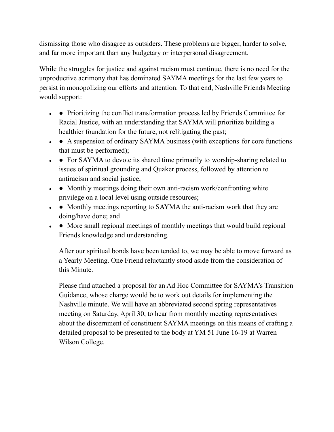dismissing those who disagree as outsiders. These problems are bigger, harder to solve, and far more important than any budgetary or interpersonal disagreement.

While the struggles for justice and against racism must continue, there is no need for the unproductive acrimony that has dominated SAYMA meetings for the last few years to persist in monopolizing our efforts and attention. To that end, Nashville Friends Meeting would support:

- • Prioritizing the conflict transformation process led by Friends Committee for Racial Justice, with an understanding that SAYMA will prioritize building a healthier foundation for the future, not relitigating the past;
- A suspension of ordinary SAYMA business (with exceptions for core functions that must be performed);
- • For SAYMA to devote its shared time primarily to worship-sharing related to issues of spiritual grounding and Quaker process, followed by attention to antiracism and social justice;
- • Monthly meetings doing their own anti-racism work/confronting white privilege on a local level using outside resources;
- • Monthly meetings reporting to SAYMA the anti-racism work that they are doing/have done; and
- $\bullet$  More small regional meetings of monthly meetings that would build regional Friends knowledge and understanding.

After our spiritual bonds have been tended to, we may be able to move forward as a Yearly Meeting. One Friend reluctantly stood aside from the consideration of this Minute.

Please find attached a proposal for an Ad Hoc Committee for SAYMA's Transition Guidance, whose charge would be to work out details for implementing the Nashville minute. We will have an abbreviated second spring representatives meeting on Saturday, April 30, to hear from monthly meeting representatives about the discernment of constituent SAYMA meetings on this means of crafting a detailed proposal to be presented to the body at YM 51 June 16-19 at Warren Wilson College.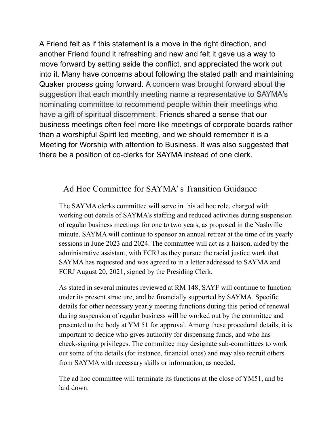A Friend felt as if this statement is a move in the right direction, and another Friend found it refreshing and new and felt it gave us a way to move forward by setting aside the conflict, and appreciated the work put into it. Many have concerns about following the stated path and maintaining Quaker process going forward. A concern was brought forward about the suggestion that each monthly meeting name a representative to SAYMA's nominating committee to recommend people within their meetings who have a gift of spiritual discernment. Friends shared a sense that our business meetings often feel more like meetings of corporate boards rather than a worshipful Spirit led meeting, and we should remember it is a Meeting for Worship with attention to Business. It was also suggested that there be a position of co-clerks for SAYMA instead of one clerk.

## Ad Hoc Committee for SAYMA's Transition Guidance

The SAYMA clerks committee will serve in this ad hoc role, charged with working out details of SAYMA's staffing and reduced activities during suspension of regular business meetings for one to two years, as proposed in the Nashville minute. SAYMA will continue to sponsor an annual retreat at the time of its yearly sessions in June 2023 and 2024. The committee will act as a liaison, aided by the administrative assistant, with FCRJ as they pursue the racial justice work that SAYMA has requested and was agreed to in a letter addressed to SAYMA and FCRJ August 20, 2021, signed by the Presiding Clerk.

As stated in several minutes reviewed at RM 148, SAYF will continue to function under its present structure, and be financially supported by SAYMA. Specific details for other necessary yearly meeting functions during this period of renewal during suspension of regular business will be worked out by the committee and presented to the body at YM 51 for approval. Among these procedural details, it is important to decide who gives authority for dispensing funds, and who has check-signing privileges. The committee may designate sub-committees to work out some of the details (for instance, financial ones) and may also recruit others from SAYMA with necessary skills or information, as needed.

The ad hoc committee will terminate its functions at the close of YM51, and be laid down.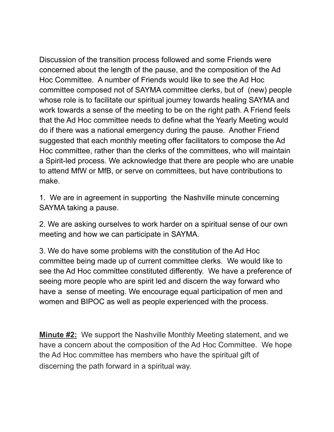Discussion of the transition process followed and some Friends were concerned about the length of the pause, and the composition of the Ad Hoc Committee. A number of Friends would like to see the Ad Hoc committee composed not of SAYMA committee clerks, but of (new) people whose role is to facilitate our spiritual journey towards healing SAYMA and work towards a sense of the meeting to be on the right path. A Friend feels that the Ad Hoc committee needs to define what the Yearly Meeting would do if there was a national emergency during the pause. Another Friend suggested that each monthly meeting offer facilitators to compose the Ad Hoc committee, rather than the clerks of the committees, who will maintain a Spirit-led process. We acknowledge that there are people who are unable to attend MfW or MfB, or serve on committees, but have contributions to make.

1. We are in agreement in supporting the Nashville minute concerning SAYMA taking a pause.

2. We are asking ourselves to work harder on a spiritual sense of our own meeting and how we can participate in SAYMA.

3. We do have some problems with the constitution of the Ad Hoc committee being made up of current committee clerks. We would like to see the Ad Hoc committee constituted differently. We have a preference of seeing more people who are spirit led and discern the way forward who have a sense of meeting. We encourage equal participation of men and women and BIPOC as well as people experienced with the process.

**Minute #2:** We support the Nashville Monthly Meeting statement, and we have a concern about the composition of the Ad Hoc Committee. We hope the Ad Hoc committee has members who have the spiritual gift of discerning the path forward in a spiritual way.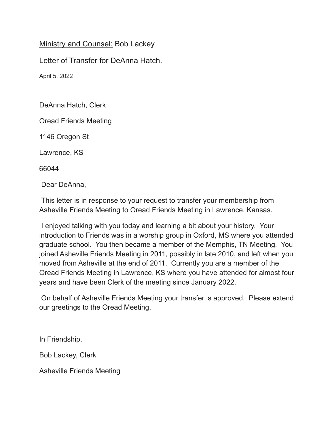Ministry and Counsel: Bob Lackey

Letter of Transfer for DeAnna Hatch.

April 5, 2022

DeAnna Hatch, Clerk

Oread Friends Meeting

1146 Oregon St

Lawrence, KS

66044

Dear DeAnna,

This letter is in response to your request to transfer your membership from Asheville Friends Meeting to Oread Friends Meeting in Lawrence, Kansas.

I enjoyed talking with you today and learning a bit about your history. Your introduction to Friends was in a worship group in Oxford, MS where you attended graduate school. You then became a member of the Memphis, TN Meeting. You joined Asheville Friends Meeting in 2011, possibly in late 2010, and left when you moved from Asheville at the end of 2011. Currently you are a member of the Oread Friends Meeting in Lawrence, KS where you have attended for almost four years and have been Clerk of the meeting since January 2022.

On behalf of Asheville Friends Meeting your transfer is approved. Please extend our greetings to the Oread Meeting.

In Friendship,

Bob Lackey, Clerk

Asheville Friends Meeting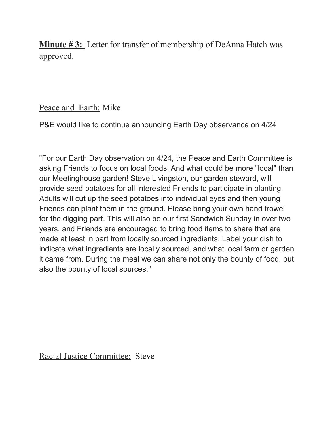**Minute # 3:** Letter for transfer of membership of DeAnna Hatch was approved.

## Peace and Earth: Mike

P&E would like to continue announcing Earth Day observance on 4/24

"For our Earth Day observation on 4/24, the Peace and Earth Committee is asking Friends to focus on local foods. And what could be more "local" than our Meetinghouse garden! Steve Livingston, our garden steward, will provide seed potatoes for all interested Friends to participate in planting. Adults will cut up the seed potatoes into individual eyes and then young Friends can plant them in the ground. Please bring your own hand trowel for the digging part. This will also be our first Sandwich Sunday in over two years, and Friends are encouraged to bring food items to share that are made at least in part from locally sourced ingredients. Label your dish to indicate what ingredients are locally sourced, and what local farm or garden it came from. During the meal we can share not only the bounty of food, but also the bounty of local sources."

Racial Justice Committee: Steve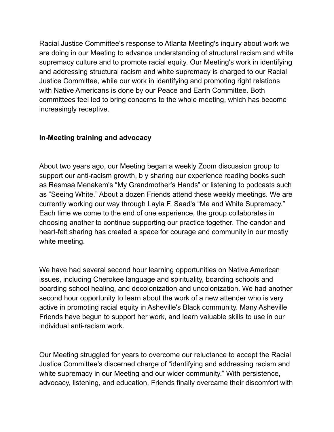Racial Justice Committee's response to Atlanta Meeting's inquiry about work we are doing in our Meeting to advance understanding of structural racism and white supremacy culture and to promote racial equity. Our Meeting's work in identifying and addressing structural racism and white supremacy is charged to our Racial Justice Committee, while our work in identifying and promoting right relations with Native Americans is done by our Peace and Earth Committee. Both committees feel led to bring concerns to the whole meeting, which has become increasingly receptive.

#### **In-Meeting training and advocacy**

About two years ago, our Meeting began a weekly Zoom discussion group to support our anti-racism growth, b y sharing our experience reading books such as Resmaa Menakem's "My Grandmother's Hands" or listening to podcasts such as "Seeing White." About a dozen Friends attend these weekly meetings. We are currently working our way through Layla F. Saad's "Me and White Supremacy." Each time we come to the end of one experience, the group collaborates in choosing another to continue supporting our practice together. The candor and heart-felt sharing has created a space for courage and community in our mostly white meeting.

We have had several second hour learning opportunities on Native American issues, including Cherokee language and spirituality, boarding schools and boarding school healing, and decolonization and uncolonization. We had another second hour opportunity to learn about the work of a new attender who is very active in promoting racial equity in Asheville's Black community. Many Asheville Friends have begun to support her work, and learn valuable skills to use in our individual anti-racism work.

Our Meeting struggled for years to overcome our reluctance to accept the Racial Justice Committee's discerned charge of "identifying and addressing racism and white supremacy in our Meeting and our wider community." With persistence, advocacy, listening, and education, Friends finally overcame their discomfort with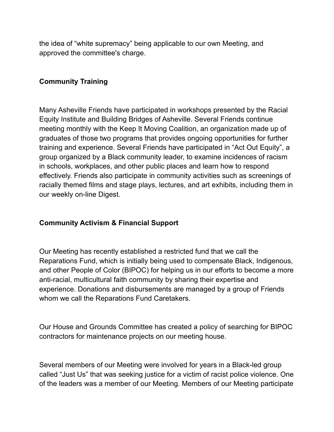the idea of "white supremacy" being applicable to our own Meeting, and approved the committee's charge.

#### **Community Training**

Many Asheville Friends have participated in workshops presented by the Racial Equity Institute and Building Bridges of Asheville. Several Friends continue meeting monthly with the Keep It Moving Coalition, an organization made up of graduates of those two programs that provides ongoing opportunities for further training and experience. Several Friends have participated in "Act Out Equity", a group organized by a Black community leader, to examine incidences of racism in schools, workplaces, and other public places and learn how to respond effectively. Friends also participate in community activities such as screenings of racially themed films and stage plays, lectures, and art exhibits, including them in our weekly on-line Digest.

#### **Community Activism & Financial Support**

Our Meeting has recently established a restricted fund that we call the Reparations Fund, which is initially being used to compensate Black, Indigenous, and other People of Color (BIPOC) for helping us in our efforts to become a more anti-racial, multicultural faith community by sharing their expertise and experience. Donations and disbursements are managed by a group of Friends whom we call the Reparations Fund Caretakers.

Our House and Grounds Committee has created a policy of searching for BIPOC contractors for maintenance projects on our meeting house.

Several members of our Meeting were involved for years in a Black-led group called "Just Us" that was seeking justice for a victim of racist police violence. One of the leaders was a member of our Meeting. Members of our Meeting participate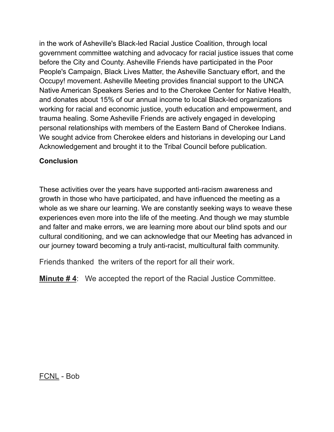in the work of Asheville's Black-led Racial Justice Coalition, through local government committee watching and advocacy for racial justice issues that come before the City and County. Asheville Friends have participated in the Poor People's Campaign, Black Lives Matter, the Asheville Sanctuary effort, and the Occupy! movement. Asheville Meeting provides financial support to the UNCA Native American Speakers Series and to the Cherokee Center for Native Health, and donates about 15% of our annual income to local Black-led organizations working for racial and economic justice, youth education and empowerment, and trauma healing. Some Asheville Friends are actively engaged in developing personal relationships with members of the Eastern Band of Cherokee Indians. We sought advice from Cherokee elders and historians in developing our Land Acknowledgement and brought it to the Tribal Council before publication.

#### **Conclusion**

These activities over the years have supported anti-racism awareness and growth in those who have participated, and have influenced the meeting as a whole as we share our learning. We are constantly seeking ways to weave these experiences even more into the life of the meeting. And though we may stumble and falter and make errors, we are learning more about our blind spots and our cultural conditioning, and we can acknowledge that our Meeting has advanced in our journey toward becoming a truly anti-racist, multicultural faith community.

Friends thanked the writers of the report for all their work.

**Minute # 4**: We accepted the report of the Racial Justice Committee.

FCNL - Bob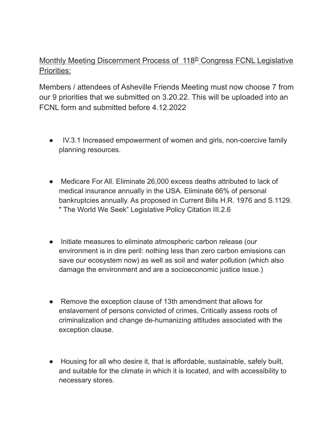### Monthly Meeting Discernment Process of 118<sup>th</sup> Congress FCNL Legislative Priorities:

Members / attendees of Asheville Friends Meeting must now choose 7 from our 9 priorities that we submitted on 3.20.22. This will be uploaded into an FCNL form and submitted before 4.12.2022

- IV.3.1 Increased empowerment of women and girls, non-coercive family planning resources.
- Medicare For All. Eliminate 26,000 excess deaths attributed to lack of medical insurance annually in the USA. Eliminate 66% of personal bankruptcies annually. As proposed in Current Bills H.R. 1976 and S.1129. " The World We Seek" Legislative Policy Citation III.2.6
- Initiate measures to eliminate atmospheric carbon release (our environment is in dire peril: nothing less than zero carbon emissions can save our ecosystem now) as well as soil and water pollution (which also damage the environment and are a socioeconomic justice issue.)
- Remove the exception clause of 13th amendment that allows for enslavement of persons convicted of crimes, Critically assess roots of criminalization and change de-humanizing attitudes associated with the exception clause.
- Housing for all who desire it, that is affordable, sustainable, safely built, and suitable for the climate in which it is located, and with accessibility to necessary stores.